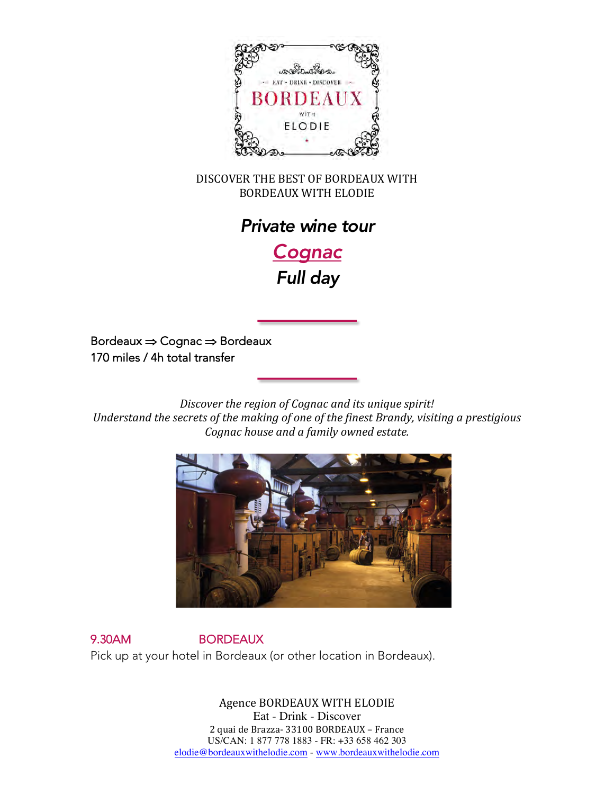

DISCOVER THE BEST OF BORDEAUX WITH BORDEAUX WITH ELODIE 



*Cognac Full day*

Bordeaux  $\Rightarrow$  Cognac  $\Rightarrow$  Bordeaux 170 miles / 4h total transfer

*Discover the region of Cognac and its unique spirit!* Understand the secrets of the making of one of the finest Brandy, visiting a prestigious *Cognac house and a family owned estate.* 



9.30AM BORDEAUX Pick up at your hotel in Bordeaux (or other location in Bordeaux).

> Agence BORDEAUX WITH ELODIE Eat - Drink - Discover 87 quai de Queyries- 33100 BORDEAUX - France US/CAN: 1 877 778 1883 - FR: +33 658 462 303 elodie@bordeauxwithelodie.com - www.bordeauxwithelodie.com